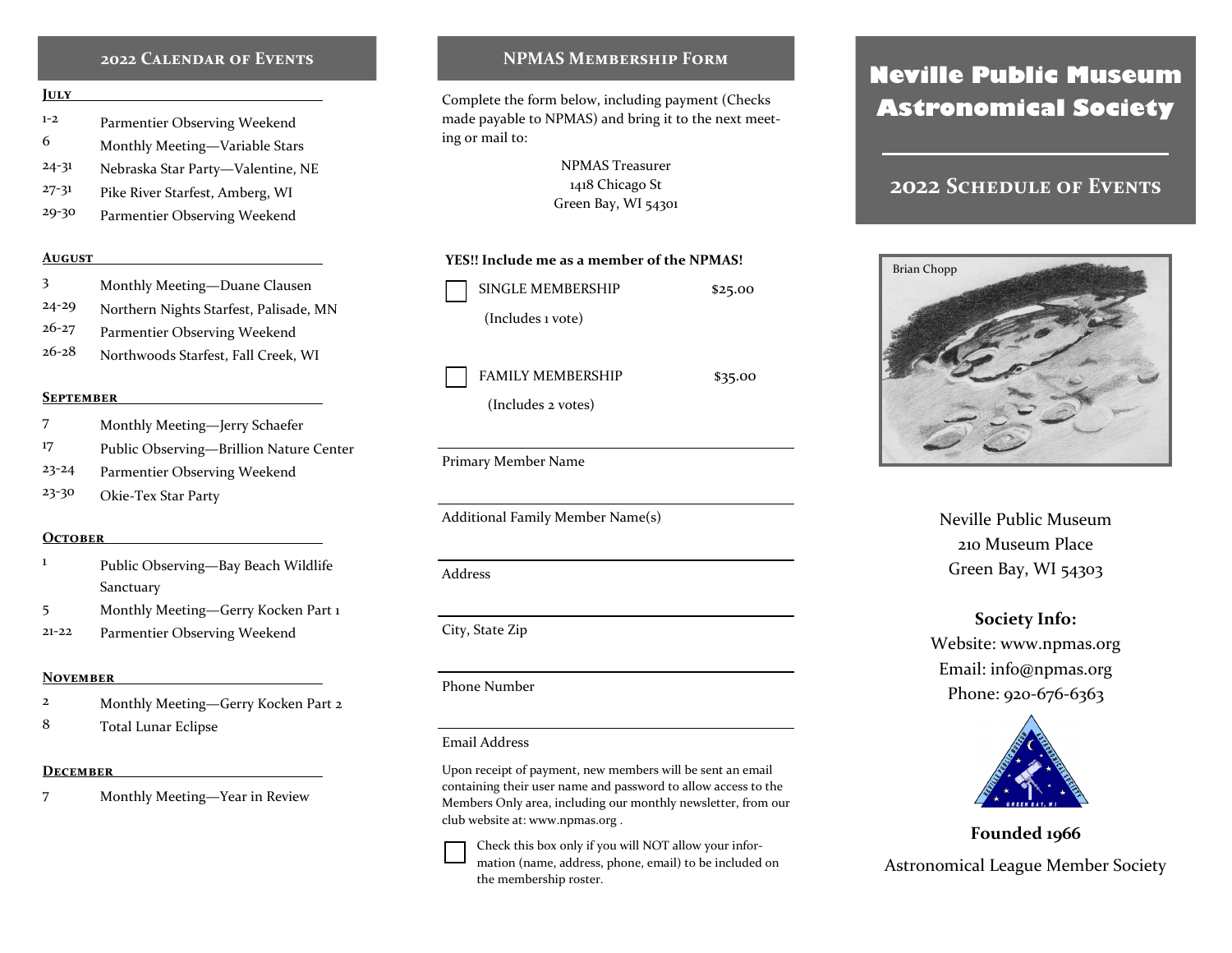# **2022 Calendar of Events**

#### **July**

6

- 1-2 Parmentier Observing Weekend
- 24-31 Monthly Meeting—Variable Stars
- Nebraska Star Party—Valentine, NE
- 27-31 Pike River Starfest, Amberg, WI
- 29-30 Parmentier Observing Weekend

#### **August**

- 3 Monthly Meeting—Duane Clausen
- 24-29 Northern Nights Starfest, Palisade, MN
- 26-27 Parmentier Observing Weekend
- 26-28 Northwoods Starfest, Fall Creek, WI

#### **September**

- 7 Monthly Meeting—Jerry Schaefer
- 17 Public Observing—Brillion Nature Center
- 23-24 Parmentier Observing Weekend
- 23-30 Okie-Tex Star Party

#### **October**

- 1 Public Observing—Bay Beach Wildlife Sanctuary
- 5 Monthly Meeting—Gerry Kocken Part 1
- 21-22 Parmentier Observing Weekend

#### **November**

- 2 Monthly Meeting—Gerry Kocken Part 2
- 8 Total Lunar Eclipse

#### **December**

7 Monthly Meeting—Year in Review

# **NPMAS Membership Form**

Complete the form below, including payment (Checks made payable to NPMAS) and bring it to the next meeting or mail to:

> NPMAS Treasurer 1418 Chicago St Green Bay, WI 54301

## **YES!! Include me as a member of the NPMAS!**

| <b>SINGLE MEMBERSHIP</b> | \$25.00 |
|--------------------------|---------|
| (Includes 1 vote)        |         |
|                          |         |
| <b>FAMILY MEMBERSHIP</b> | \$35.00 |

(Includes 2 votes)

Primary Member Name

Additional Family Member Name(s)

# Phone Number

#### Email Address

Upon receipt of payment, new members will be sent an email containing their user name and password to allow access to the Members Only area, including our monthly newsletter, from our club website at: www.npmas.org .

Check this box only if you will NOT allow your information (name, address, phone, email) to be included on the membership roster.

# **Neville Public Museum Astronomical Society**

# **2022 Schedule of Events**



Neville Public Museum 210 Museum Place Green Bay, WI 54303

# **Society Info:**

Website: www.npmas.org Email: info@npmas.org Phone: 920-676-6363



**Founded 1966** Astronomical League Member Society

City, State Zip

Address